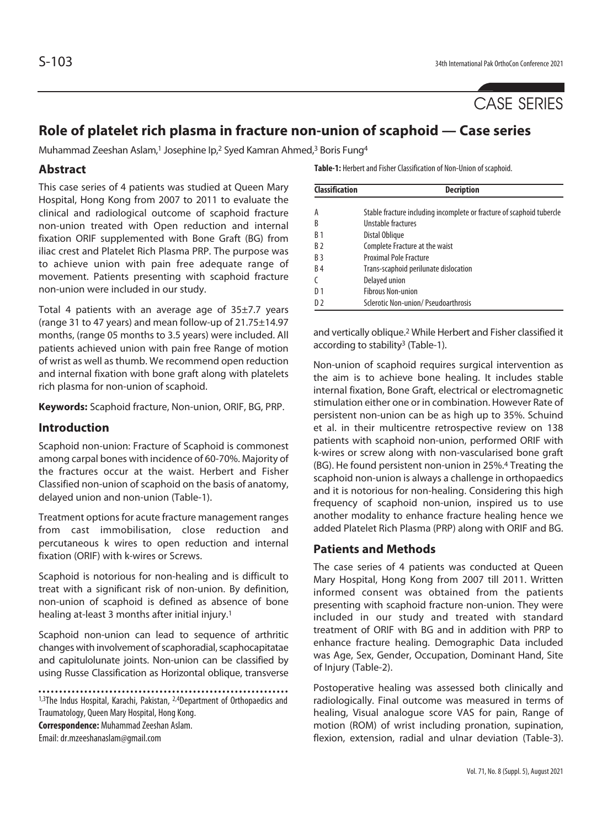

# **Role of platelet rich plasma in fracture non-union of scaphoid — Case series**

Muhammad Zeeshan Aslam,<sup>1</sup> Josephine Ip,<sup>2</sup> Syed Kamran Ahmed,<sup>3</sup> Boris Fung<sup>4</sup>

### **Abstract**

This case series of 4 patients was studied at Queen Mary Hospital, Hong Kong from 2007 to 2011 to evaluate the clinical and radiological outcome of scaphoid fracture non-union treated with Open reduction and internal fixation ORIF supplemented with Bone Graft (BG) from iliac crest and Platelet Rich Plasma PRP. The purpose was to achieve union with pain free adequate range of movement. Patients presenting with scaphoid fracture non-union were included in our study.

Total 4 patients with an average age of  $35\pm7.7$  years (range 31 to 47 years) and mean follow-up of 21.75±14.97 months, (range 05 months to 3.5 years) were included. All patients achieved union with pain free Range of motion of wrist as well as thumb. We recommend open reduction and internal fixation with bone graft along with platelets rich plasma for non-union of scaphoid.

**Keywords:** Scaphoid fracture, Non-union, ORIF, BG, PRP.

#### **Introduction**

Scaphoid non-union: Fracture of Scaphoid is commonest among carpal bones with incidence of 60-70%. Majority of the fractures occur at the waist. Herbert and Fisher Classified non-union of scaphoid on the basis of anatomy, delayed union and non-union (Table-1).

Treatment options for acute fracture management ranges from cast immobilisation, close reduction and percutaneous k wires to open reduction and internal fixation (ORIF) with k-wires or Screws.

Scaphoid is notorious for non-healing and is difficult to treat with a significant risk of non-union. By definition, non-union of scaphoid is defined as absence of bone healing at-least 3 months after initial injury.1

Scaphoid non-union can lead to sequence of arthritic changes with involvement of scaphoradial, scaphocapitatae and capitulolunate joints. Non-union can be classified by using Russe Classification as Horizontal oblique, transverse

1,3The Indus Hospital, Karachi, Pakistan, 2,4Department of Orthopaedics and Traumatology, Queen Mary Hospital, Hong Kong. **Correspondence:** Muhammad Zeeshan Aslam. Email: dr.mzeeshanaslam@gmail.com

**Table-1:** Herbert and Fisher Classification of Non-Union of scaphoid.

| <b>Classification</b> | <b>Decription</b>                                                     |  |  |  |  |
|-----------------------|-----------------------------------------------------------------------|--|--|--|--|
|                       |                                                                       |  |  |  |  |
| А                     | Stable fracture including incomplete or fracture of scaphoid tubercle |  |  |  |  |
| B                     | Unstable fractures                                                    |  |  |  |  |
| <b>B</b> 1            | Distal Oblique                                                        |  |  |  |  |
| <b>B2</b>             | Complete Fracture at the waist                                        |  |  |  |  |
| <b>B</b> <sub>3</sub> | <b>Proximal Pole Fracture</b>                                         |  |  |  |  |
| <b>B4</b>             | Trans-scaphoid perilunate dislocation                                 |  |  |  |  |
|                       | Delayed union                                                         |  |  |  |  |
| D <sub>1</sub>        | <b>Fibrous Non-union</b>                                              |  |  |  |  |
| D)                    | Sclerotic Non-union/ Pseudoarthrosis                                  |  |  |  |  |

and vertically oblique.2 While Herbert and Fisher classified it according to stability<sup>3</sup> (Table-1).

Non-union of scaphoid requires surgical intervention as the aim is to achieve bone healing. It includes stable internal fixation, Bone Graft, electrical or electromagnetic stimulation either one or in combination. However Rate of persistent non-union can be as high up to 35%. Schuind et al. in their multicentre retrospective review on 138 patients with scaphoid non-union, performed ORIF with k-wires or screw along with non-vascularised bone graft (BG). He found persistent non-union in 25%.4 Treating the scaphoid non-union is always a challenge in orthopaedics and it is notorious for non-healing. Considering this high frequency of scaphoid non-union, inspired us to use another modality to enhance fracture healing hence we added Platelet Rich Plasma (PRP) along with ORIF and BG.

#### **Patients and Methods**

The case series of 4 patients was conducted at Queen Mary Hospital, Hong Kong from 2007 till 2011. Written informed consent was obtained from the patients presenting with scaphoid fracture non-union. They were included in our study and treated with standard treatment of ORIF with BG and in addition with PRP to enhance fracture healing. Demographic Data included was Age, Sex, Gender, Occupation, Dominant Hand, Site of Injury (Table-2).

Postoperative healing was assessed both clinically and radiologically. Final outcome was measured in terms of healing, Visual analogue score VAS for pain, Range of motion (ROM) of wrist including pronation, supination, flexion, extension, radial and ulnar deviation (Table-3).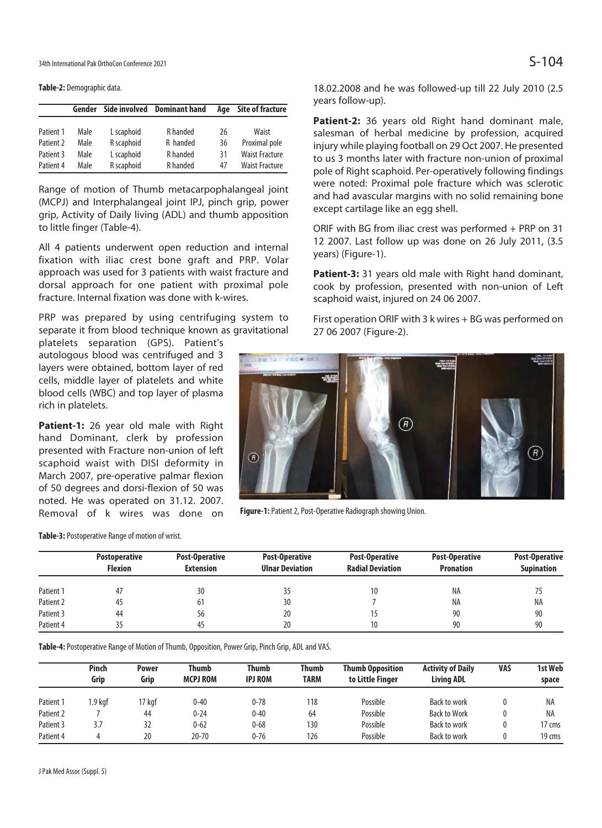34th International Pak OrthoCon Conference 2021  $S-104$ 

**Table-2:** Demographic data.

|           | Gender |            | Side involved Dominant hand |    | <b>Site of fracture</b> |  |  |
|-----------|--------|------------|-----------------------------|----|-------------------------|--|--|
|           |        |            |                             |    |                         |  |  |
| Patient 1 | Male   | L scaphoid | R handed                    | 26 | Waist                   |  |  |
| Patient 2 | Male   | R scaphoid | R handed                    | 36 | Proximal pole           |  |  |
| Patient 3 | Male   | L scaphoid | R handed                    | 31 | <b>Waist Fracture</b>   |  |  |
| Patient 4 | Male   | R scaphoid | R handed                    | 47 | <b>Waist Fracture</b>   |  |  |

Range of motion of Thumb metacarpophalangeal joint (MCPJ) and Interphalangeal joint IPJ, pinch grip, power grip, Activity of Daily living (ADL) and thumb apposition to little finger (Table-4).

All 4 patients underwent open reduction and internal fixation with iliac crest bone graft and PRP. Volar approach was used for 3 patients with waist fracture and dorsal approach for one patient with proximal pole fracture. Internal fixation was done with k-wires.

PRP was prepared by using centrifuging system to separate it from blood technique known as gravitational

platelets separation (GPS). Patient's autologous blood was centrifuged and 3 layers were obtained, bottom layer of red cells, middle layer of platelets and white blood cells (WBC) and top layer of plasma rich in platelets.

**Patient-1:** 26 year old male with Right hand Dominant, clerk by profession presented with Fracture non-union of left scaphoid waist with DISI deformity in March 2007, pre-operative palmar flexion of 50 degrees and dorsi-flexion of 50 was noted. He was operated on 31.12. 2007. Removal of k wires was done on

**Table-3:** Postoperative Range of motion of wrist.

18.02.2008 and he was followed-up till 22 July 2010 (2.5 years follow-up).

**Patient-2:** 36 years old Right hand dominant male, salesman of herbal medicine by profession, acquired injury while playing football on 29 Oct 2007. He presented to us 3 months later with fracture non-union of proximal pole of Right scaphoid. Per-operatively following findings were noted: Proximal pole fracture which was sclerotic and had avascular margins with no solid remaining bone except cartilage like an egg shell.

ORIF with BG from iliac crest was performed + PRP on 31 12 2007. Last follow up was done on 26 July 2011, (3.5 years) (Figure-1).

**Patient-3:** 31 years old male with Right hand dominant, cook by profession, presented with non-union of Left scaphoid waist, injured on 24 06 2007.

First operation ORIF with 3 k wires + BG was performed on 27 06 2007 (Figure-2).



**Figure-1:** Patient 2, Post-Operative Radiograph showing Union.

|           | <b>Postoperative</b><br>Flexion | Post-Operative<br><b>Extension</b> | Post-Operative<br><b>Ulnar Deviation</b> | Post-Operative<br><b>Radial Deviation</b> | Post-Operative<br><b>Pronation</b> | <b>Post-Operative</b><br><b>Supination</b> |  |
|-----------|---------------------------------|------------------------------------|------------------------------------------|-------------------------------------------|------------------------------------|--------------------------------------------|--|
| Patient 1 |                                 | 30                                 |                                          | 10                                        | ΝA                                 |                                            |  |
| Patient 2 | 45                              | 61                                 | 30                                       |                                           | NA                                 | ΝA                                         |  |
| Patient 3 | 44                              | 56                                 | 20                                       |                                           | 90                                 | 90                                         |  |
| Patient 4 |                                 | 45                                 | 20                                       | 10                                        | 90                                 | 90                                         |  |

**Table-4:** Postoperative Range of Motion of Thumb, Opposition, Power Grip, Pinch Grip, ADL and VAS.

| Pinch<br>Grip |         | Power<br>Grip | Thumb<br>Thumb<br><b>MCPJ ROM</b><br><b>IPJ ROM</b> |          | Thumb<br><b>TARM</b> | <b>Thumb Opposition</b><br>to Little Finger | <b>Activity of Daily</b><br><b>Living ADL</b> | <b>VAS</b> | 1st Web<br>space |
|---------------|---------|---------------|-----------------------------------------------------|----------|----------------------|---------------------------------------------|-----------------------------------------------|------------|------------------|
| Patient 1     | I.9 kaf | I7 kqf        | $0 - 40$                                            | $0 - 78$ | 118                  | Possible                                    | Back to work                                  |            | NA               |
| Patient 2     |         | 44            | $0 - 24$                                            | $0 - 40$ | 64                   | Possible                                    | <b>Back to Work</b>                           |            | <b>NA</b>        |
| Patient 3     | 3.7     | 32            | $0 - 62$                                            | $0 - 68$ | 130                  | Possible                                    | Back to work                                  |            | 17 cms           |
| Patient 4     |         | 20            | $20 - 70$                                           | $0 - 76$ | 126                  | Possible                                    | Back to work                                  |            | 19 cms           |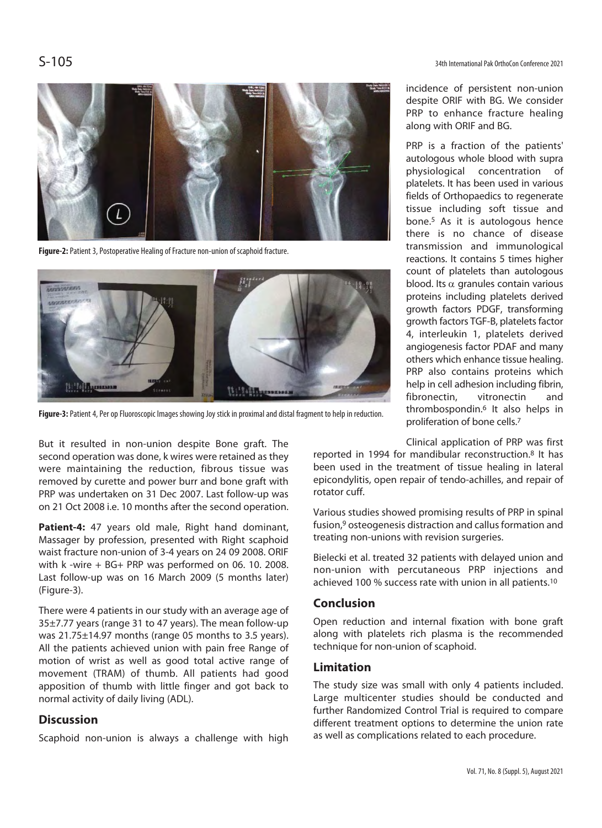

**Figure-2:** Patient 3, Postoperative Healing of Fracture non-union of scaphoid fracture.



**Figure-3:** Patient 4, Per op Fluoroscopic Images showing Joy stick in proximal and distal fragment to help in reduction.

But it resulted in non-union despite Bone graft. The second operation was done, k wires were retained as they were maintaining the reduction, fibrous tissue was removed by curette and power burr and bone graft with PRP was undertaken on 31 Dec 2007. Last follow-up was on 21 Oct 2008 i.e. 10 months after the second operation.

**Patient-4:** 47 years old male, Right hand dominant, Massager by profession, presented with Right scaphoid waist fracture non-union of 3-4 years on 24 09 2008. ORIF with k -wire + BG+ PRP was performed on 06. 10. 2008. Last follow-up was on 16 March 2009 (5 months later) (Figure-3).

There were 4 patients in our study with an average age of 35±7.77 years (range 31 to 47 years). The mean follow-up was 21.75±14.97 months (range 05 months to 3.5 years). All the patients achieved union with pain free Range of motion of wrist as well as good total active range of movement (TRAM) of thumb. All patients had good apposition of thumb with little finger and got back to normal activity of daily living (ADL).

# **Discussion**

Scaphoid non-union is always a challenge with high

incidence of persistent non-union despite ORIF with BG. We consider PRP to enhance fracture healing along with ORIF and BG.

PRP is a fraction of the patients' autologous whole blood with supra physiological concentration of platelets. It has been used in various fields of Orthopaedics to regenerate tissue including soft tissue and bone.5 As it is autologous hence there is no chance of disease transmission and immunological reactions. It contains 5 times higher count of platelets than autologous blood. Its  $\alpha$  granules contain various proteins including platelets derived growth factors PDGF, transforming growth factors TGF-B, platelets factor 4, interleukin 1, platelets derived angiogenesis factor PDAF and many others which enhance tissue healing. PRP also contains proteins which help in cell adhesion including fibrin, fibronectin, vitronectin and thrombospondin.6 It also helps in proliferation of bone cells.7

Clinical application of PRP was first

reported in 1994 for mandibular reconstruction.8 It has been used in the treatment of tissue healing in lateral epicondylitis, open repair of tendo-achilles, and repair of rotator cuff.

Various studies showed promising results of PRP in spinal fusion,9 osteogenesis distraction and callus formation and treating non-unions with revision surgeries.

Bielecki et al. treated 32 patients with delayed union and non-union with percutaneous PRP injections and achieved 100 % success rate with union in all patients.10

# **Conclusion**

Open reduction and internal fixation with bone graft along with platelets rich plasma is the recommended technique for non-union of scaphoid.

### **Limitation**

The study size was small with only 4 patients included. Large multicenter studies should be conducted and further Randomized Control Trial is required to compare different treatment options to determine the union rate as well as complications related to each procedure.